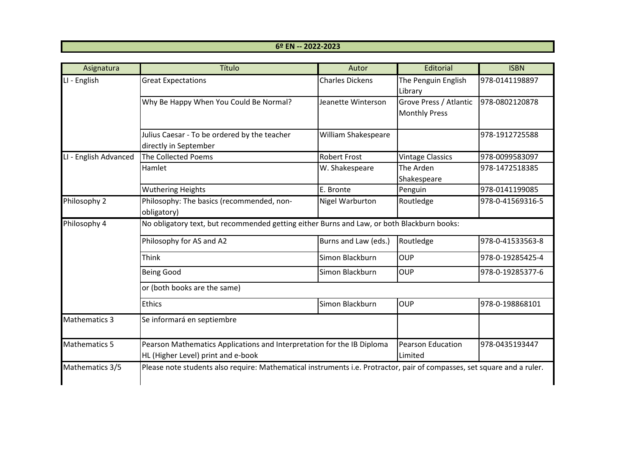## **6º EN -- 2022-2023**

| Asignatura            | Título                                                                                                                  | Autor                  | Editorial                                      | <b>ISBN</b>      |  |  |
|-----------------------|-------------------------------------------------------------------------------------------------------------------------|------------------------|------------------------------------------------|------------------|--|--|
| LI - English          | <b>Great Expectations</b>                                                                                               | <b>Charles Dickens</b> | The Penguin English<br>Library                 | 978-0141198897   |  |  |
|                       | Why Be Happy When You Could Be Normal?                                                                                  | Jeanette Winterson     | Grove Press / Atlantic<br><b>Monthly Press</b> | 978-0802120878   |  |  |
|                       | Julius Caesar - To be ordered by the teacher<br>directly in September                                                   | William Shakespeare    |                                                | 978-1912725588   |  |  |
| LI - English Advanced | <b>The Collected Poems</b>                                                                                              | <b>Robert Frost</b>    | <b>Vintage Classics</b>                        | 978-0099583097   |  |  |
|                       | Hamlet                                                                                                                  | W. Shakespeare         | The Arden<br>Shakespeare                       | 978-1472518385   |  |  |
|                       | <b>Wuthering Heights</b>                                                                                                | E. Bronte              | Penguin                                        | 978-0141199085   |  |  |
| Philosophy 2          | Philosophy: The basics (recommended, non-<br>obligatory)                                                                | <b>Nigel Warburton</b> | Routledge                                      | 978-0-41569316-5 |  |  |
| Philosophy 4          | No obligatory text, but recommended getting either Burns and Law, or both Blackburn books:                              |                        |                                                |                  |  |  |
|                       | Philosophy for AS and A2                                                                                                | Burns and Law (eds.)   | Routledge                                      | 978-0-41533563-8 |  |  |
|                       | Think                                                                                                                   | Simon Blackburn        | <b>OUP</b>                                     | 978-0-19285425-4 |  |  |
|                       | <b>Being Good</b>                                                                                                       | Simon Blackburn        | <b>OUP</b>                                     | 978-0-19285377-6 |  |  |
|                       | or (both books are the same)                                                                                            |                        |                                                |                  |  |  |
|                       | <b>Ethics</b>                                                                                                           | Simon Blackburn        | <b>OUP</b>                                     | 978-0-198868101  |  |  |
| <b>Mathematics 3</b>  | Se informará en septiembre                                                                                              |                        |                                                |                  |  |  |
| <b>Mathematics 5</b>  | Pearson Mathematics Applications and Interpretation for the IB Diploma                                                  |                        | <b>Pearson Education</b>                       | 978-0435193447   |  |  |
|                       | HL (Higher Level) print and e-book                                                                                      |                        | Limited                                        |                  |  |  |
| Mathematics 3/5       | Please note students also require: Mathematical instruments i.e. Protractor, pair of compasses, set square and a ruler. |                        |                                                |                  |  |  |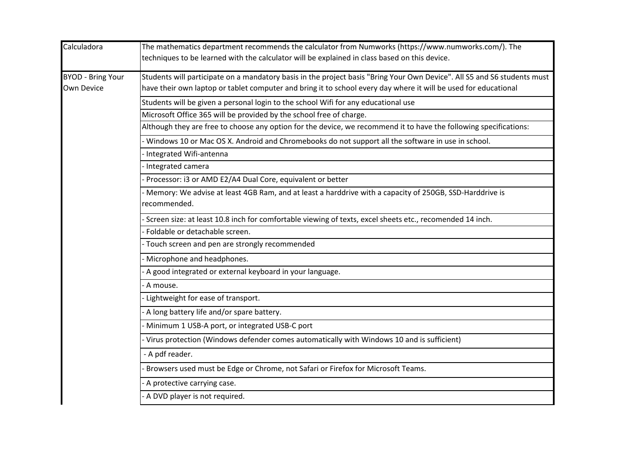| Calculadora              | The mathematics department recommends the calculator from Numworks (https://www.numworks.com/). The                      |  |  |  |  |
|--------------------------|--------------------------------------------------------------------------------------------------------------------------|--|--|--|--|
|                          | techniques to be learned with the calculator will be explained in class based on this device.                            |  |  |  |  |
| <b>BYOD - Bring Your</b> | Students will participate on a mandatory basis in the project basis "Bring Your Own Device". All S5 and S6 students must |  |  |  |  |
| Own Device               | have their own laptop or tablet computer and bring it to school every day where it will be used for educational          |  |  |  |  |
|                          | Students will be given a personal login to the school Wifi for any educational use                                       |  |  |  |  |
|                          | Microsoft Office 365 will be provided by the school free of charge.                                                      |  |  |  |  |
|                          | Although they are free to choose any option for the device, we recommend it to have the following specifications:        |  |  |  |  |
|                          | - Windows 10 or Mac OS X. Android and Chromebooks do not support all the software in use in school.                      |  |  |  |  |
|                          | Integrated Wifi-antenna                                                                                                  |  |  |  |  |
|                          | Integrated camera                                                                                                        |  |  |  |  |
|                          | Processor: i3 or AMD E2/A4 Dual Core, equivalent or better                                                               |  |  |  |  |
|                          | Memory: We advise at least 4GB Ram, and at least a harddrive with a capacity of 250GB, SSD-Harddrive is<br>recommended.  |  |  |  |  |
|                          | Screen size: at least 10.8 inch for comfortable viewing of texts, excel sheets etc., recomended 14 inch.                 |  |  |  |  |
|                          | Foldable or detachable screen.                                                                                           |  |  |  |  |
|                          | - Touch screen and pen are strongly recommended                                                                          |  |  |  |  |
|                          | - Microphone and headphones.                                                                                             |  |  |  |  |
|                          | A good integrated or external keyboard in your language.                                                                 |  |  |  |  |
|                          | A mouse.                                                                                                                 |  |  |  |  |
|                          | - Lightweight for ease of transport.                                                                                     |  |  |  |  |
|                          | A long battery life and/or spare battery.                                                                                |  |  |  |  |
|                          | - Minimum 1 USB-A port, or integrated USB-C port                                                                         |  |  |  |  |
|                          | Virus protection (Windows defender comes automatically with Windows 10 and is sufficient)                                |  |  |  |  |
|                          | - A pdf reader.                                                                                                          |  |  |  |  |
|                          | Browsers used must be Edge or Chrome, not Safari or Firefox for Microsoft Teams.                                         |  |  |  |  |
|                          | - A protective carrying case.                                                                                            |  |  |  |  |
|                          | A DVD player is not required.                                                                                            |  |  |  |  |